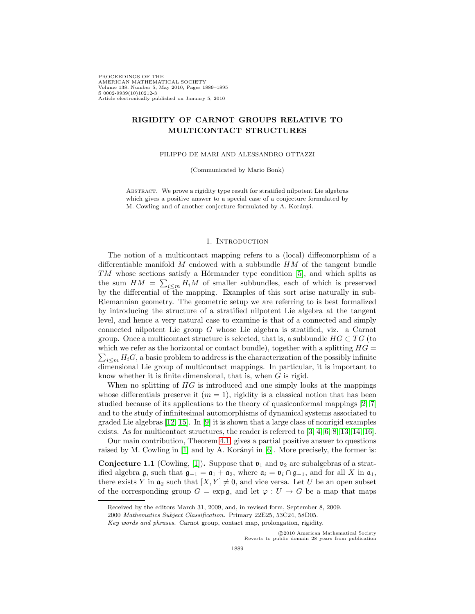PROCEEDINGS OF THE AMERICAN MATHEMATICAL SOCIETY Volume 138, Number 5, May 2010, Pages 1889–1895 S 0002-9939(10)10212-3 Article electronically published on January 5, 2010

# **RIGIDITY OF CARNOT GROUPS RELATIVE TO MULTICONTACT STRUCTURES**

FILIPPO DE MARI AND ALESSANDRO OTTAZZI

(Communicated by Mario Bonk)

ABSTRACT. We prove a rigidity type result for stratified nilpotent Lie algebras which gives a positive answer to a special case of a conjecture formulated by M. Cowling and of another conjecture formulated by A. Korányi.

## 1. INTRODUCTION

The notion of a multicontact mapping refers to a (local) diffeomorphism of a differentiable manifold  $M$  endowed with a subbundle  $HM$  of the tangent bundle  $TM$  whose sections satisfy a Hörmander type condition [\[5\]](#page-6-0), and which splits as the sum  $HM = \sum_{i \leq m} H_i M$  of smaller subbundles, each of which is preserved by the differential of the mapping. Examples of this sort arise naturally in sub-Riemannian geometry. The geometric setup we are referring to is best formalized by introducing the structure of a stratified nilpotent Lie algebra at the tangent level, and hence a very natural case to examine is that of a connected and simply connected nilpotent Lie group G whose Lie algebra is stratified, viz. a Carnot group. Once a multicontact structure is selected, that is, a subbundle  $HG \subset TG$  (to which we refer as the horizontal or contact bundle), together with a splitting  $HG =$  $\sum_{i\leq m} H_iG$ , a basic problem to address is the characterization of the possibly infinite dimensional Lie group of multicontact mappings. In particular, it is important to know whether it is finite dimensional, that is, when G is rigid.

When no splitting of  $HG$  is introduced and one simply looks at the mappings whose differentials preserve it  $(m = 1)$ , rigidity is a classical notion that has been studied because of its applications to the theory of quasiconformal mappings [\[2,](#page-5-0) [7\]](#page-6-1) and to the study of infinitesimal automorphisms of dynamical systems associated to graded Lie algebras  $[12, 15]$  $[12, 15]$ . In  $[9]$  it is shown that a large class of nonrigid examples exists. As for multicontact structures, the reader is referred to [\[3,](#page-6-5) [4,](#page-6-6) [6,](#page-6-7) [8,](#page-6-8) [13,](#page-6-9) [14,](#page-6-10) [16\]](#page-6-11).

Our main contribution, Theorem [4.1,](#page-4-0) gives a partial positive answer to questions raised by M. Cowling in  $|1|$  and by A. Korányi in  $|6|$ . More precisely, the former is:

**Conjecture 1.1** (Cowling, [\[1\]](#page-5-1)). Suppose that  $v_1$  and  $v_2$  are subalgebras of a stratified algebra  $\mathfrak g$ , such that  $\mathfrak g_{-1} = \mathfrak a_1 + \mathfrak a_2$ , where  $\mathfrak a_i = \mathfrak v_i \cap \mathfrak g_{-1}$ , and for all X in  $\mathfrak a_1$ , there exists Y in  $a_2$  such that  $[X, Y] \neq 0$ , and vice versa. Let U be an open subset of the corresponding group  $G = \exp \mathfrak{g}$ , and let  $\varphi : U \to G$  be a map that maps

c 2010 American Mathematical Society Reverts to public domain 28 years from publication

Received by the editors March 31, 2009, and, in revised form, September 8, 2009.

<sup>2000</sup> Mathematics Subject Classification. Primary 22E25, 53C24, 58D05.

Key words and phrases. Carnot group, contact map, prolongation, rigidity.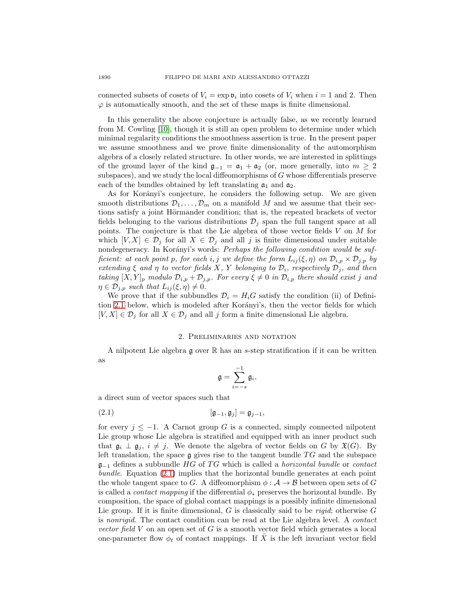connected subsets of cosets of  $V_i = \exp \mathfrak{v}_i$  into cosets of  $V_i$  when  $i = 1$  and 2. Then  $\varphi$  is automatically smooth, and the set of these maps is finite dimensional.

In this generality the above conjecture is actually false, as we recently learned from M. Cowling [\[10\]](#page-6-12), though it is still an open problem to determine under which minimal regularity conditions the smoothness assertion is true. In the present paper we assume smoothness and we prove finite dimensionality of the automorphism algebra of a closely related structure. In other words, we are interested in splittings of the ground layer of the kind  $\mathfrak{g}_{-1} = \mathfrak{a}_1 + \mathfrak{a}_2$  (or, more generally, into  $m \geq 2$ subspaces), and we study the local diffeomorphisms of G whose differentials preserve each of the bundles obtained by left translating  $a_1$  and  $a_2$ .

As for Korányi's conjecture, he considers the following setup. We are given smooth distributions  $\mathcal{D}_1,\ldots,\mathcal{D}_m$  on a manifold M and we assume that their sections satisfy a joint Hörmander condition; that is, the repeated brackets of vector fields belonging to the various distributions  $\mathcal{D}_i$  span the full tangent space at all points. The conjecture is that the Lie algebra of those vector fields  $V$  on  $M$  for which  $[V, X] \in \mathcal{D}_j$  for all  $X \in \mathcal{D}_j$  and all j is finite dimensional under suitable nondegeneracy. In Korányi's words: Perhaps the following condition would be sufficient: at each point p, for each i, j we define the form  $L_{ij}(\xi,\eta)$  on  $\mathcal{D}_{i,p} \times \mathcal{D}_{j,p}$  by extending  $\xi$  and  $\eta$  to vector fields X, Y belonging to  $\mathcal{D}_i$ , respectively  $\mathcal{D}_j$ , and then taking  $[X, Y]_p$  modulo  $\mathcal{D}_{i,p} + \mathcal{D}_{j,p}$ . For every  $\xi \neq 0$  in  $\mathcal{D}_{i,p}$  there should exist j and  $\eta \in \mathcal{D}_{j,p}$  such that  $L_{ij}(\xi,\eta) \neq 0$ .

We prove that if the subbundles  $\mathcal{D}_i = H_iG$  satisfy the condition (ii) of Defini-tion [2.1](#page-2-0) below, which is modeled after Korányi's, then the vector fields for which  $[V, X] \in \mathcal{D}_j$  for all  $X \in \mathcal{D}_j$  and all j form a finite dimensional Lie algebra.

# 2. Preliminaries and notation

A nilpotent Lie algebra  $\mathfrak g$  over  $\mathbb R$  has an s-step stratification if it can be written as

<span id="page-1-0"></span>
$$
\mathfrak{g}=\sum_{i=-s}^{-1}\mathfrak{g}_i,
$$

a direct sum of vector spaces such that

$$
[\mathfrak{g}_{-1},\mathfrak{g}_j]=\mathfrak{g}_{j-1},
$$

for every  $j \leq -1$ . A Carnot group G is a connected, simply connected nilpotent Lie group whose Lie algebra is stratified and equipped with an inner product such that  $\mathfrak{g}_i \perp \mathfrak{g}_j$ ,  $i \neq j$ . We denote the algebra of vector fields on G by  $\mathfrak{X}(G)$ . By left translation, the space  $g$  gives rise to the tangent bundle  $TG$  and the subspace  $\mathfrak{g}_{-1}$  defines a subbundle HG of TG which is called a *horizontal bundle* or *contact* bundle. Equation [\(2.1\)](#page-1-0) implies that the horizontal bundle generates at each point the whole tangent space to G. A diffeomorphism  $\phi : A \rightarrow B$  between open sets of G is called a *contact mapping* if the differential  $\phi_*$  preserves the horizontal bundle. By composition, the space of global contact mappings is a possibly infinite dimensional Lie group. If it is finite dimensional,  $G$  is classically said to be *rigid*; otherwise  $G$ is nonrigid. The contact condition can be read at the Lie algebra level. A contact vector field  $V$  on an open set of  $G$  is a smooth vector field which generates a local one-parameter flow  $\phi_t$  of contact mappings. If X is the left invariant vector field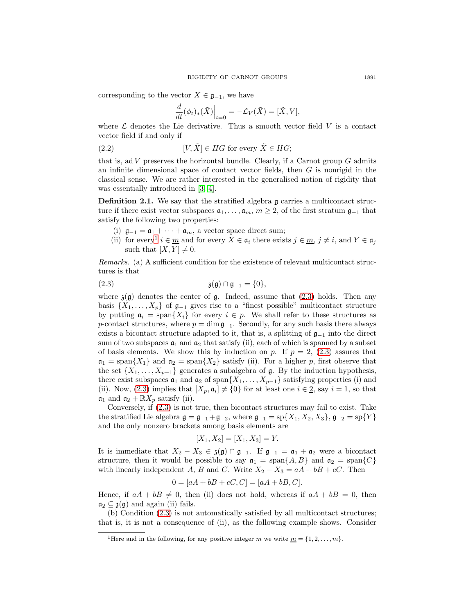corresponding to the vector  $X \in \mathfrak{g}_{-1}$ , we have

$$
\frac{d}{dt}(\phi_t)_*(\tilde{X})\Big|_{t=0} = -\mathcal{L}_V(\tilde{X}) = [\tilde{X}, V],
$$

where  $\mathcal L$  denotes the Lie derivative. Thus a smooth vector field V is a contact vector field if and only if

(2.2) 
$$
[V, \tilde{X}] \in HG \text{ for every } \tilde{X} \in HG;
$$

that is, ad  $V$  preserves the horizontal bundle. Clearly, if a Carnot group  $G$  admits an infinite dimensional space of contact vector fields, then  $G$  is nonrigid in the classical sense. We are rather interested in the generalised notion of rigidity that was essentially introduced in [\[3,](#page-6-5) [4\]](#page-6-6).

<span id="page-2-0"></span>**Definition 2.1.** We say that the stratified algebra g carries a multicontact structure if there exist vector subspaces  $a_1, \ldots, a_m$ ,  $m \geq 2$ , of the first stratum  $\mathfrak{g}_{-1}$  that satisfy the following two properties:

- (i)  $\mathfrak{g}_{-1} = \mathfrak{a}_1 + \cdots + \mathfrak{a}_m$ , a vector space direct sum;
- (ii) for every<sup>[1](#page-2-1)</sup>  $i \in \underline{m}$  and for every  $X \in \mathfrak{a}_i$  there exists  $j \in \underline{m}$ ,  $j \neq i$ , and  $Y \in \mathfrak{a}_j$ such that  $[X, Y] \neq 0$ .

<span id="page-2-2"></span>Remarks. (a) A sufficient condition for the existence of relevant multicontact structures is that

$$
\mathfrak{z}(\mathfrak{g}) \cap \mathfrak{g}_{-1} = \{0\},\
$$

where  $\mathfrak{z}(\mathfrak{g})$  denotes the center of  $\mathfrak{g}$ . Indeed, assume that [\(2.3\)](#page-2-2) holds. Then any basis  $\{X_1,\ldots,X_p\}$  of  $\mathfrak{g}_{-1}$  gives rise to a "finest possible" multicontact structure by putting  $a_i = \text{span}\{X_i\}$  for every  $i \in p$ . We shall refer to these structures as p-contact structures, where  $p = \dim \mathfrak{g}_{-1}$ . Secondly, for any such basis there always exists a bicontact structure adapted to it, that is, a splitting of  $\mathfrak{g}_{-1}$  into the direct sum of two subspaces  $a_1$  and  $a_2$  that satisfy (ii), each of which is spanned by a subset of basis elements. We show this by induction on p. If  $p = 2$ ,  $(2.3)$  assures that  $a_1 = \text{span}\{X_1\}$  and  $a_2 = \text{span}\{X_2\}$  satisfy (ii). For a higher p, first observe that the set  $\{X_1,\ldots,X_{p-1}\}$  generates a subalgebra of  $\mathfrak g$ . By the induction hypothesis, there exist subspaces  $a_1$  and  $a_2$  of span $\{X_1,\ldots,X_{p-1}\}$  satisfying properties (i) and (ii). Now, [\(2.3\)](#page-2-2) implies that  $[X_p, \mathfrak{a}_i] \neq \{0\}$  for at least one  $i \in \underline{2}$ , say  $i = 1$ , so that  $\mathfrak{a}_1$  and  $\mathfrak{a}_2 + \mathbb{R}X_n$  satisfy (ii).

Conversely, if [\(2.3\)](#page-2-2) is not true, then bicontact structures may fail to exist. Take the stratified Lie algebra  $\mathfrak{g} = \mathfrak{g}_{-1} + \mathfrak{g}_{-2}$ , where  $\mathfrak{g}_{-1} = sp\{X_1, X_2, X_3\}, \mathfrak{g}_{-2} = sp\{Y\}$ and the only nonzero brackets among basis elements are

$$
[X_1, X_2] = [X_1, X_3] = Y.
$$

It is immediate that  $X_2 - X_3 \in \mathfrak{z}(\mathfrak{g}) \cap \mathfrak{g}_{-1}$ . If  $\mathfrak{g}_{-1} = \mathfrak{a}_1 + \mathfrak{a}_2$  were a bicontact structure, then it would be possible to say  $a_1 = \text{span}{A, B}$  and  $a_2 = \text{span}{C}$ with linearly independent A, B and C. Write  $X_2 - X_3 = aA + bB + cC$ . Then

$$
0 = [aA + bB + cC, C] = [aA + bB, C].
$$

Hence, if  $aA + bB \neq 0$ , then (ii) does not hold, whereas if  $aA + bB = 0$ , then  $a_2 \,\subset \,\mathfrak{z}(\mathfrak{g})$  and again (ii) fails.

(b) Condition [\(2.3\)](#page-2-2) is not automatically satisfied by all multicontact structures; that is, it is not a consequence of (ii), as the following example shows. Consider

<span id="page-2-1"></span><sup>&</sup>lt;sup>1</sup>Here and in the following, for any positive integer m we write  $\underline{m} = \{1, 2, \ldots, m\}.$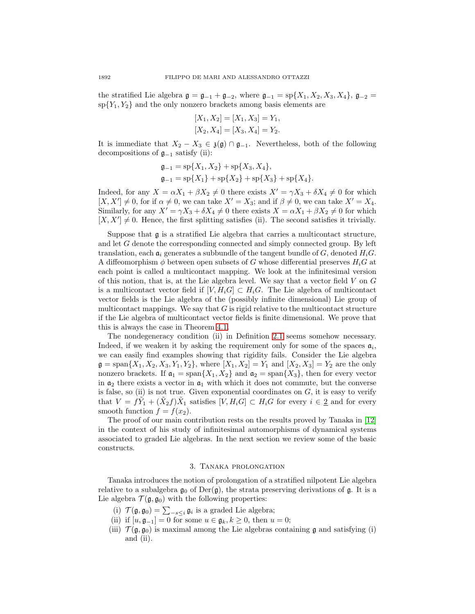the stratified Lie algebra  $\mathfrak{g} = \mathfrak{g}_{-1} + \mathfrak{g}_{-2}$ , where  $\mathfrak{g}_{-1} = sp\{X_1, X_2, X_3, X_4\}$ ,  $\mathfrak{g}_{-2} =$  $\{Y_1, Y_2\}$  and the only nonzero brackets among basis elements are

$$
[X_1, X_2] = [X_1, X_3] = Y_1,
$$
  

$$
[X_2, X_4] = [X_3, X_4] = Y_2.
$$

It is immediate that  $X_2 - X_3 \in \mathfrak{z}(\mathfrak{g}) \cap \mathfrak{g}_{-1}$ . Nevertheless, both of the following decompositions of  $\mathfrak{g}_{-1}$  satisfy (ii):

$$
\mathfrak{g}_{-1} = \mathrm{sp}\{X_1, X_2\} + \mathrm{sp}\{X_3, X_4\},
$$
  

$$
\mathfrak{g}_{-1} = \mathrm{sp}\{X_1\} + \mathrm{sp}\{X_2\} + \mathrm{sp}\{X_3\} + \mathrm{sp}\{X_4\}.
$$

Indeed, for any  $X = \alpha X_1 + \beta X_2 \neq 0$  there exists  $X' = \gamma X_3 + \delta X_4 \neq 0$  for which  $[X, X'] \neq 0$ , for if  $\alpha \neq 0$ , we can take  $X' = X_3$ ; and if  $\beta \neq 0$ , we can take  $X' = X_4$ . Similarly, for any  $X' = \gamma X_3 + \delta X_4 \neq 0$  there exists  $X = \alpha X_1 + \beta X_2 \neq 0$  for which  $[X, X'] \neq 0$ . Hence, the first splitting satisfies (ii). The second satisfies it trivially.

Suppose that g is a stratified Lie algebra that carries a multicontact structure, and let G denote the corresponding connected and simply connected group. By left translation, each  $\mathfrak{a}_i$  generates a subbundle of the tangent bundle of G, denoted  $H_iG$ . A diffeomorphism  $\phi$  between open subsets of G whose differential preserves  $H_i$ G at each point is called a multicontact mapping. We look at the infinitesimal version of this notion, that is, at the Lie algebra level. We say that a vector field  $V$  on  $G$ is a multicontact vector field if  $[V, H_iG] \subset H_iG$ . The Lie algebra of multicontact vector fields is the Lie algebra of the (possibly infinite dimensional) Lie group of multicontact mappings. We say that  $G$  is rigid relative to the multicontact structure if the Lie algebra of multicontact vector fields is finite dimensional. We prove that this is always the case in Theorem [4.1.](#page-4-0)

The nondegeneracy condition (ii) in Definition [2.1](#page-2-0) seems somehow necessary. Indeed, if we weaken it by asking the requirement only for some of the spaces  $a_i$ , we can easily find examples showing that rigidity fails. Consider the Lie algebra  $\mathfrak{g} = \text{span}\{X_1, X_2, X_3, Y_1, Y_2\}$ , where  $[X_1, X_2] = Y_1$  and  $[X_2, X_3] = Y_2$  are the only nonzero brackets. If  $\mathfrak{a}_1 = \text{span}\{X_1, X_2\}$  and  $\mathfrak{a}_2 = \text{span}\{X_3\}$ , then for every vector in  $a_2$  there exists a vector in  $a_1$  with which it does not commute, but the converse is false, so (ii) is not true. Given exponential coordinates on  $G$ , it is easy to verify that  $V = f\tilde{Y}_1 + (\tilde{X}_2 f)\tilde{X}_1$  satisfies  $[V, H_i G] \subset H_i G$  for every  $i \in \underline{2}$  and for every smooth function  $f = f(x_2)$ .

The proof of our main contribution rests on the results proved by Tanaka in [\[12\]](#page-6-2) in the context of his study of infinitesimal automorphisms of dynamical systems associated to graded Lie algebras. In the next section we review some of the basic constructs.

#### 3. Tanaka prolongation

Tanaka introduces the notion of prolongation of a stratified nilpotent Lie algebra relative to a subalgebra  $\mathfrak{g}_0$  of  $Der(\mathfrak{g})$ , the strata preserving derivations of  $\mathfrak{g}$ . It is a Lie algebra  $\mathcal{T}(\mathfrak{g}, \mathfrak{g}_0)$  with the following properties:

- (i)  $\mathcal{T}(\mathfrak{g}, \mathfrak{g}_0) = \sum_{s \leq i} \mathfrak{g}_i$  is a graded Lie algebra;
- (ii) if  $[u, \mathfrak{g}_{-1}] = 0$  for some  $u \in \mathfrak{g}_k, k \geq 0$ , then  $u = 0$ ;
- (iii)  $\mathcal{T}(\mathfrak{g}, \mathfrak{g}_0)$  is maximal among the Lie algebras containing  $\mathfrak{g}$  and satisfying (i) and (ii).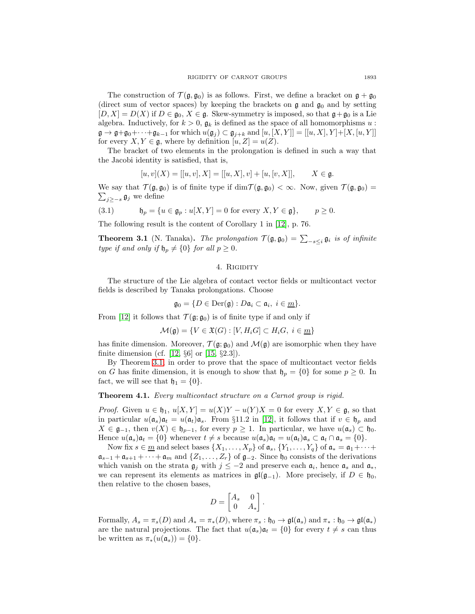The construction of  $\mathcal{T}(\mathfrak{g}, \mathfrak{g}_0)$  is as follows. First, we define a bracket on  $\mathfrak{g} + \mathfrak{g}_0$ (direct sum of vector spaces) by keeping the brackets on  $\mathfrak g$  and  $\mathfrak g_0$  and by setting  $[D, X] = D(X)$  if  $D \in \mathfrak{g}_0, X \in \mathfrak{g}$ . Skew-symmetry is imposed, so that  $\mathfrak{g} + \mathfrak{g}_0$  is a Lie algebra. Inductively, for  $k > 0$ ,  $\mathfrak{g}_k$  is defined as the space of all homomorphisms u:  $\mathfrak{g} \to \mathfrak{g} + \mathfrak{g}_0 + \cdots + \mathfrak{g}_{k-1}$  for which  $u(\mathfrak{g}_j) \subset \mathfrak{g}_{j+k}$  and  $[u, [X, Y]] = [[u, X], Y] + [X, [u, Y]]$ for every  $X, Y \in \mathfrak{g}$ , where by definition  $[u, Z] = u(Z)$ .

The bracket of two elements in the prolongation is defined in such a way that the Jacobi identity is satisfied, that is,

$$
[u, v](X) = [[u, v], X] = [[u, X], v] + [u, [v, X]], \qquad X \in \mathfrak{g}.
$$

We say that  $\mathcal{T}(\mathfrak{g},\mathfrak{g}_0)$  is of finite type if  $\dim \mathcal{T}(\mathfrak{g},\mathfrak{g}_0) < \infty$ . Now, given  $\mathcal{T}(\mathfrak{g},\mathfrak{g}_0) =$  $\sum_{j\geq -s}$   $\mathfrak{g}_j$  we define

(3.1) 
$$
\mathfrak{h}_p = \{ u \in \mathfrak{g}_p : u[X, Y] = 0 \text{ for every } X, Y \in \mathfrak{g} \}, \qquad p \ge 0.
$$

<span id="page-4-1"></span>The following result is the content of Corollary 1 in [\[12\]](#page-6-2), p. 76.

**Theorem 3.1** (N. Tanaka). The prolongation  $\mathcal{T}(\mathfrak{g}, \mathfrak{g}_0) = \sum_{-s \leq i} \mathfrak{g}_i$  is of infinite type if and only if  $\mathfrak{h}_p \neq \{0\}$  for all  $p \geq 0$ .

# 4. RIGIDITY

The structure of the Lie algebra of contact vector fields or multicontact vector fields is described by Tanaka prolongations. Choose

$$
\mathfrak{g}_0 = \{ D \in \text{Der}(\mathfrak{g}) : D\mathfrak{a}_i \subset \mathfrak{a}_i, i \in \underline{m} \}.
$$

From [\[12\]](#page-6-2) it follows that  $\mathcal{T}(\mathfrak{g}; \mathfrak{g}_0)$  is of finite type if and only if

$$
\mathcal{M}(\mathfrak{g}) = \{ V \in \mathfrak{X}(G) : [V, H_i G] \subset H_i G, \ i \in \underline{m} \}
$$

has finite dimension. Moreover,  $\mathcal{T}(\mathfrak{g}; \mathfrak{g}_0)$  and  $\mathcal{M}(\mathfrak{g})$  are isomorphic when they have finite dimension (cf. [\[12,](#page-6-2)  $\S6$ ] or [\[15,](#page-6-3)  $\S2.3$ ]).

By Theorem [3.1,](#page-4-1) in order to prove that the space of multicontact vector fields on G has finite dimension, it is enough to show that  $\mathfrak{h}_p = \{0\}$  for some  $p \geq 0$ . In fact, we will see that  $\mathfrak{h}_1 = \{0\}.$ 

<span id="page-4-0"></span>**Theorem 4.1.** Every multicontact structure on a Carnot group is rigid.

*Proof.* Given  $u \in \mathfrak{h}_1$ ,  $u[X, Y] = u(X)Y - u(Y)X = 0$  for every  $X, Y \in \mathfrak{g}$ , so that in particular  $u(\mathfrak{a}_s)\mathfrak{a}_t = u(\mathfrak{a}_t)\mathfrak{a}_s$ . From §11.2 in [\[12\]](#page-6-2), it follows that if  $v \in \mathfrak{h}_p$  and  $X \in \mathfrak{g}_{-1}$ , then  $v(X) \in \mathfrak{h}_{p-1}$ , for every  $p \geq 1$ . In particular, we have  $u(\mathfrak{a}_s) \subset \mathfrak{h}_0$ . Hence  $u(\mathfrak{a}_s)\mathfrak{a}_t = \{0\}$  whenever  $t \neq s$  because  $u(\mathfrak{a}_s)\mathfrak{a}_t = u(\mathfrak{a}_t)\mathfrak{a}_s \subset \mathfrak{a}_t \cap \mathfrak{a}_s = \{0\}.$ 

Now fix  $s \in \underline{m}$  and select bases  $\{X_1,\ldots,X_p\}$  of  $\mathfrak{a}_s$ ,  $\{Y_1,\ldots,Y_q\}$  of  $\mathfrak{a}_* = \mathfrak{a}_1 + \cdots +$  $\mathfrak{a}_{s-1} + \mathfrak{a}_{s+1} + \cdots + \mathfrak{a}_m$  and  $\{Z_1, \ldots, Z_r\}$  of  $\mathfrak{g}_{-2}$ . Since  $\mathfrak{h}_0$  consists of the derivations which vanish on the strata  $\mathfrak{g}_i$  with  $j \leq -2$  and preserve each  $\mathfrak{a}_i$ , hence  $\mathfrak{a}_s$  and  $\mathfrak{a}_*,$ we can represent its elements as matrices in  $\mathfrak{gl}(\mathfrak{g}_{-1})$ . More precisely, if  $D \in \mathfrak{h}_0$ , then relative to the chosen bases,

$$
D = \begin{bmatrix} A_s & 0 \\ 0 & A_* \end{bmatrix}.
$$

Formally,  $A_s = \pi_s(D)$  and  $A_* = \pi_*(D)$ , where  $\pi_s : \mathfrak{h}_0 \to \mathfrak{gl}(\mathfrak{a}_s)$  and  $\pi_* : \mathfrak{h}_0 \to \mathfrak{gl}(\mathfrak{a}_*)$ are the natural projections. The fact that  $u(\mathfrak{a}_s)\mathfrak{a}_t = \{0\}$  for every  $t \neq s$  can thus be written as  $\pi_*(u(\mathfrak{a}_s)) = \{0\}.$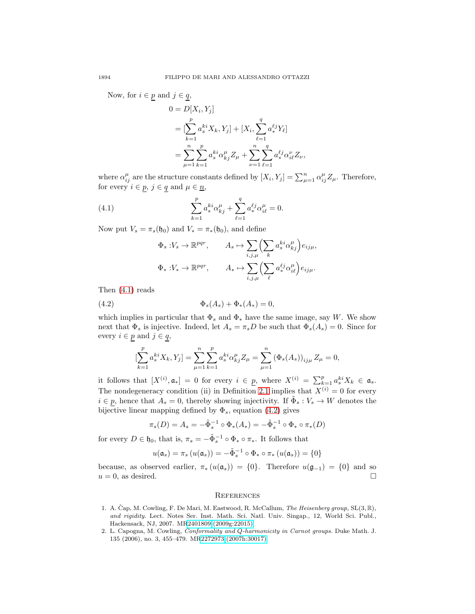Now, for  $i \in p$  and  $j \in q$ ,

$$
0 = D[X_i, Y_j]
$$
  
= 
$$
[\sum_{k=1}^p a_s^{ki} X_k, Y_j] + [X_i, \sum_{\ell=1}^q a_*^{\ell j} Y_\ell]
$$
  
= 
$$
\sum_{\mu=1}^n \sum_{k=1}^p a_s^{ki} \alpha_{kj}^\mu Z_\mu + \sum_{\nu=1}^n \sum_{\ell=1}^q a_*^{\ell j} \alpha_{i\ell}^\nu Z_\nu,
$$

<span id="page-5-2"></span>where  $\alpha_{ij}^{\mu}$  are the structure constants defined by  $[X_i, Y_j] = \sum_{\mu=1}^n \alpha_{ij}^{\mu} Z_{\mu}$ . Therefore, for every  $i \in p$ ,  $j \in q$  and  $\mu \in n$ ,

(4.1) 
$$
\sum_{k=1}^{p} a_s^{ki} \alpha_{kj}^{\mu} + \sum_{\ell=1}^{q} a_*^{\ell j} \alpha_{i\ell}^{\mu} = 0.
$$

Now put  $V_s = \pi_s(\mathfrak{h}_0)$  and  $V_* = \pi_*(\mathfrak{h}_0)$ , and define

$$
\Phi_s: V_s \to \mathbb{R}^{pqr}, \qquad A_s \mapsto \sum_{i,j,\mu} \left( \sum_k a_s^{ki} \alpha_{kj}^{\mu} \right) e_{ij\mu},
$$

$$
\Phi_*: V_* \to \mathbb{R}^{pqr}, \qquad A_* \mapsto \sum_{i,j,\mu} \left( \sum_{\ell} a_*^{\ell j} \alpha_{i\ell}^{\mu} \right) e_{ij\mu}.
$$

<span id="page-5-3"></span>Then [\(4.1\)](#page-5-2) reads

(4.2) 
$$
\Phi_s(A_s) + \Phi_*(A_*) = 0,
$$

which implies in particular that  $\Phi_s$  and  $\Phi_*$  have the same image, say W. We show next that  $\Phi_s$  is injective. Indeed, let  $A_s = \pi_s D$  be such that  $\Phi_s(A_s) = 0$ . Since for every  $i \in p$  and  $j \in q$ ,

$$
\left[\sum_{k=1}^{p} a_s^{ki} X_k, Y_j\right] = \sum_{\mu=1}^{n} \sum_{k=1}^{p} a_s^{ki} \alpha_{kj}^{\mu} Z_{\mu} = \sum_{\mu=1}^{n} \left(\Phi_s(A_s)\right)_{ij\mu} Z_{\mu} = 0,
$$

it follows that  $[X^{(i)}, \mathfrak{a}_*] = 0$  for every  $i \in \underline{p}$ , where  $X^{(i)} = \sum_{k=1}^p a_s^{ki} X_k \in \mathfrak{a}_s$ . The nondegeneracy condition (ii) in Definition [2.1](#page-2-0) implies that  $X^{(i)} = 0$  for every  $i \in p$ , hence that  $A_s = 0$ , thereby showing injectivity. If  $\tilde{\Phi}_s : V_s \to W$  denotes the bijective linear mapping defined by  $\Phi_s$ , equation [\(4.2\)](#page-5-3) gives

$$
\pi_s(D) = A_s = -\tilde{\Phi}_s^{-1} \circ \Phi_*(A_*) = -\tilde{\Phi}_s^{-1} \circ \Phi_* \circ \pi_*(D)
$$

for every  $D \in \mathfrak{h}_0$ , that is,  $\pi_s = -\tilde{\Phi}_s^{-1} \circ \Phi_* \circ \pi_*$ . It follows that

$$
u(\mathfrak{a}_s) = \pi_s \left( u(\mathfrak{a}_s) \right) = -\tilde{\Phi}_s^{-1} \circ \Phi_* \circ \pi_* \left( u(\mathfrak{a}_s) \right) = \{0\}
$$

because, as observed earlier,  $\pi_*(u(\mathfrak{a}_s)) = \{0\}$ . Therefore  $u(\mathfrak{g}_{-1}) = \{0\}$  and so  $u = 0$ , as desired.  $u = 0$ , as desired.

## **REFERENCES**

- <span id="page-5-1"></span>1. A. Čap, M. Cowling, F. De Mari, M. Eastwood, R. McCallum, The Heisenberg group, SL(3, R), and rigidity. Lect. Notes Ser. Inst. Math. Sci. Natl. Univ. Singap., 12, World Sci. Publ., Hackensack, NJ, 2007. M[R2401809 \(2009g:22015\)](http://www.ams.org/mathscinet-getitem?mr=2401809)
- <span id="page-5-0"></span>2. L. Capogna, M. Cowling, Conformality and Q-harmonicity in Carnot groups. Duke Math. J. 135 (2006), no. 3, 455–479. M[R2272973 \(2007h:30017\)](http://www.ams.org/mathscinet-getitem?mr=2272973)